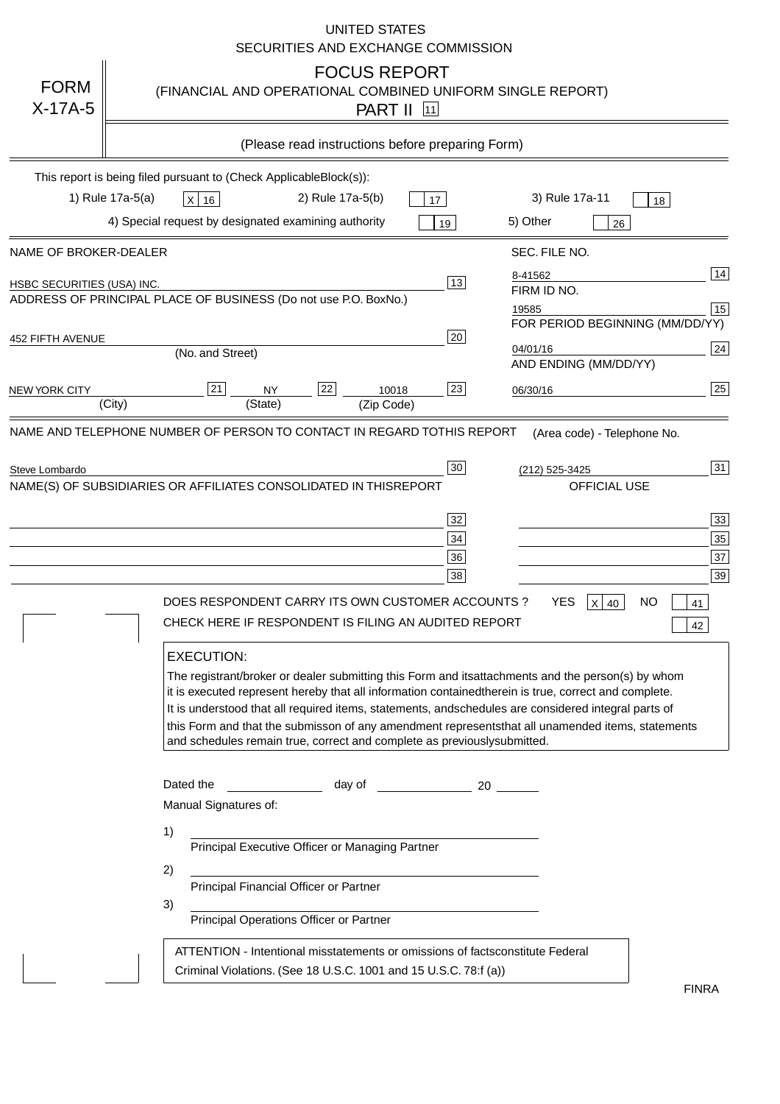|                                   | <b>UNITED STATES</b><br>SECURITIES AND EXCHANGE COMMISSION                                                                                                                                                                                                                                                                                                                                                                                                                                                                                                                                                                                                                                                                                                                                                                                                                                             |
|-----------------------------------|--------------------------------------------------------------------------------------------------------------------------------------------------------------------------------------------------------------------------------------------------------------------------------------------------------------------------------------------------------------------------------------------------------------------------------------------------------------------------------------------------------------------------------------------------------------------------------------------------------------------------------------------------------------------------------------------------------------------------------------------------------------------------------------------------------------------------------------------------------------------------------------------------------|
| <b>FORM</b><br>$X-17A-5$          | <b>FOCUS REPORT</b><br>(FINANCIAL AND OPERATIONAL COMBINED UNIFORM SINGLE REPORT)<br><b>PART II</b> 11                                                                                                                                                                                                                                                                                                                                                                                                                                                                                                                                                                                                                                                                                                                                                                                                 |
|                                   | (Please read instructions before preparing Form)                                                                                                                                                                                                                                                                                                                                                                                                                                                                                                                                                                                                                                                                                                                                                                                                                                                       |
|                                   | This report is being filed pursuant to (Check Applicable<br>$Block(s)$ :<br>3) Rule 17a-11<br>1) Rule 17a-5(a)<br>2) Rule 17a-5(b)<br>$X$ 16<br>17<br>18<br>4) Special request by designated examining authority<br>5) Other<br>19<br>26                                                                                                                                                                                                                                                                                                                                                                                                                                                                                                                                                                                                                                                               |
| NAME OF BROKER-DEALER             | SEC. FILE NO.                                                                                                                                                                                                                                                                                                                                                                                                                                                                                                                                                                                                                                                                                                                                                                                                                                                                                          |
| <b>HSBC SECURITIES (USA) INC.</b> | 14<br>8-41562<br>13<br>FIRM ID NO.<br>ADDRESS OF PRINCIPAL PLACE OF BUSINESS (Do not use P.O. Box<br>No.)<br>15<br>19585<br>FOR PERIOD BEGINNING (MM/DD/YY)                                                                                                                                                                                                                                                                                                                                                                                                                                                                                                                                                                                                                                                                                                                                            |
| <b>452 FIFTH AVENUE</b>           | 20<br>24<br>04/01/16<br>(No. and Street)<br>AND ENDING (MM/DD/YY)                                                                                                                                                                                                                                                                                                                                                                                                                                                                                                                                                                                                                                                                                                                                                                                                                                      |
| <b>NEW YORK CITY</b>              | 25<br>22<br>21<br>23<br><b>NY</b><br>10018<br>06/30/16<br>(City)<br>(State)<br>(Zip Code)                                                                                                                                                                                                                                                                                                                                                                                                                                                                                                                                                                                                                                                                                                                                                                                                              |
| Steve Lombardo                    | 31<br>30<br>(212) 525-3425<br>NAME(S) OF SUBSIDIARIES OR AFFILIATES CONSOLIDATED IN THIS<br><b>REPORT</b><br><b>OFFICIAL USE</b><br>$\overline{33}$<br>32<br>35<br>34<br>37<br>36<br>39<br>38<br>DOES RESPONDENT CARRY ITS OWN CUSTOMER ACCOUNTS?<br><b>YES</b><br>$X$ 40<br><b>NO</b><br>41<br>CHECK HERE IF RESPONDENT IS FILING AN AUDITED REPORT<br>42<br><b>EXECUTION:</b><br>The registrant/broker or dealer submitting this Form and its<br>attachments and the person(s) by whom<br>it is executed represent hereby that all information contained<br>therein is true, correct and complete.<br>It is understood that all required items, statements, and<br>schedules are considered integral parts of<br>this Form and that the submisson of any amendment represents<br>that all unamended items, statements<br>and schedules remain true, correct and complete as previously<br>submitted. |
|                                   | Dated the<br>day of<br>20<br>Manual Signatures of:<br>1)<br>Principal Executive Officer or Managing Partner<br>2)<br>Principal Financial Officer or Partner<br>3)<br>Principal Operations Officer or Partner                                                                                                                                                                                                                                                                                                                                                                                                                                                                                                                                                                                                                                                                                           |
|                                   | ATTENTION - Intentional misstatements or omissions of facts<br>constitute Federal<br>Criminal Violations. (See 18 U.S.C. 1001 and 15 U.S.C. 78:f (a)<br>$\lambda$<br><b>FINRA</b>                                                                                                                                                                                                                                                                                                                                                                                                                                                                                                                                                                                                                                                                                                                      |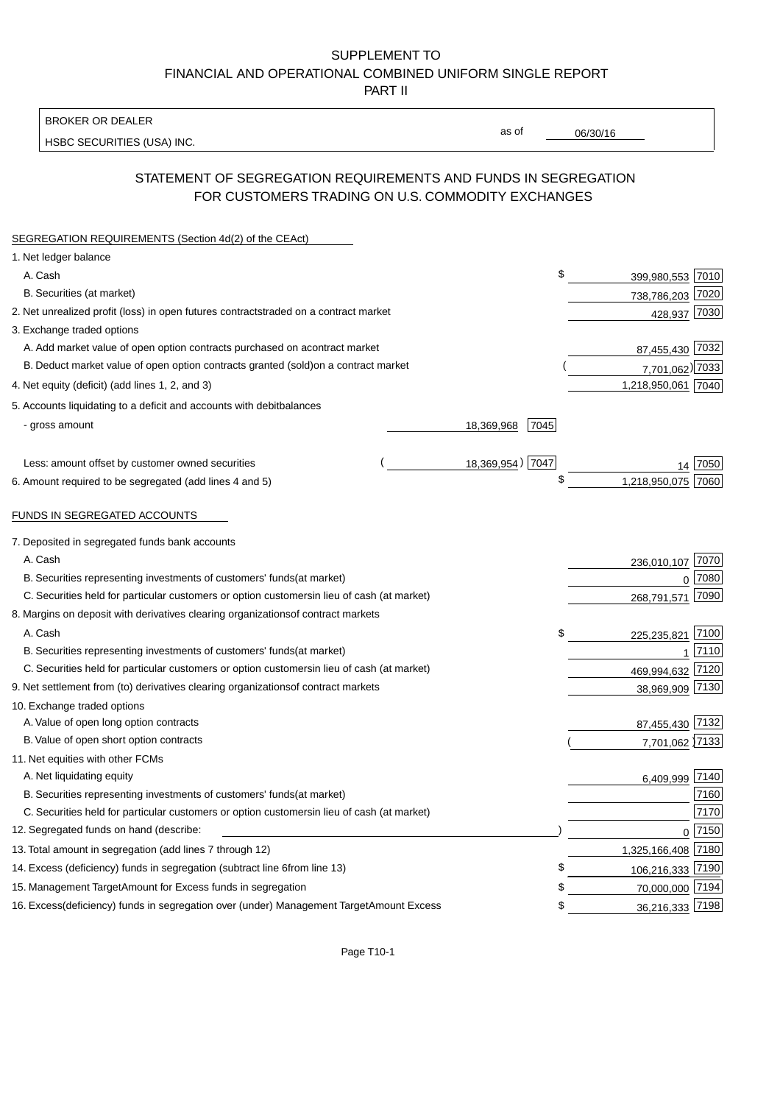#### BROKER OR DEALER

HSBC SECURITIES (USA) INC.

06/30/16

as of

# STATEMENT OF SEGREGATION REQUIREMENTS AND FUNDS IN SEGREGATION FOR CUSTOMERS TRADING ON U.S. COMMODITY EXCHANGES

| SEGREGATION REQUIREMENTS (Section 4d(2) of the CEAct)                                          |      |                    |      |
|------------------------------------------------------------------------------------------------|------|--------------------|------|
| 1. Net ledger balance                                                                          |      |                    |      |
| A. Cash                                                                                        | \$   | 399,980,553 7010   |      |
| B. Securities (at market)                                                                      |      | 738,786,203 7020   |      |
| 2. Net unrealized profit (loss) in open futures contracts<br>traded on a contract market       |      | 428,937 7030       |      |
| 3. Exchange traded options                                                                     |      |                    |      |
| A. Add market value of open option contracts purchased on a<br>contract market                 |      | 87,455,430 7032    |      |
| B. Deduct market value of open option contracts granted (sold)<br>on a contract market         |      | 7,701,062) 7033    |      |
| 4. Net equity (deficit) (add lines 1, 2, and 3)                                                |      | 1,218,950,061 7040 |      |
| 5. Accounts liquidating to a deficit and accounts with debit<br>balances                       |      |                    |      |
| - gross amount<br>18,369,968                                                                   | 7045 |                    |      |
| 18,369,954) 7047<br>Less: amount offset by customer owned securities                           |      |                    | 7050 |
| 6. Amount required to be segregated (add lines 4 and 5)                                        | S    | 1,218,950,075 7060 |      |
|                                                                                                |      |                    |      |
| FUNDS IN SEGREGATED ACCOUNTS                                                                   |      |                    |      |
| 7. Deposited in segregated funds bank accounts                                                 |      |                    |      |
| A. Cash                                                                                        |      | 236,010,107        | 7070 |
| B. Securities representing investments of customers' funds<br>(at market)                      |      | 0                  | 7080 |
| C. Securities held for particular customers or option customers<br>in lieu of cash (at market) |      | 268,791,571        | 7090 |
| 8. Margins on deposit with derivatives clearing organizations<br>of contract markets           |      |                    |      |
| A. Cash                                                                                        | \$   | 225,235,821        | 7100 |
| B. Securities representing investments of customers' funds<br>(at market)                      |      | 1                  | 7110 |
| C. Securities held for particular customers or option customers<br>in lieu of cash (at market) |      | 469,994,632        | 7120 |
| 9. Net settlement from (to) derivatives clearing organizations<br>of contract markets          |      | 38,969,909 7130    |      |
| 10. Exchange traded options                                                                    |      |                    |      |
| A. Value of open long option contracts                                                         |      | 87,455,430 7132    |      |
| B. Value of open short option contracts                                                        |      | 7,701,062 7133     |      |
| 11. Net equities with other FCMs                                                               |      |                    |      |
| A. Net liquidating equity                                                                      |      | 6,409,999 7140     |      |
| B. Securities representing investments of customers' funds<br>(at market)                      |      |                    | 7160 |
| C. Securities held for particular customers or option customers<br>in lieu of cash (at market) |      |                    | 7170 |
| 12. Segregated funds on hand (describe:                                                        |      | $0$ 7150           |      |
| 13. Total amount in segregation (add lines 7 through 12)                                       |      | 1,325,166,408 7180 |      |
| 14. Excess (deficiency) funds in segregation (subtract line 6 from line 13)                    | \$   | 106,216,333 7190   |      |
| 15. Management Target Amount for Excess funds in segregation                                   | \$   | 70,000,000 7194    |      |
| 16. Excess (deficiency) funds in segregation over (under) Management Target Amount Excess      | \$   | 36,216,333 7198    |      |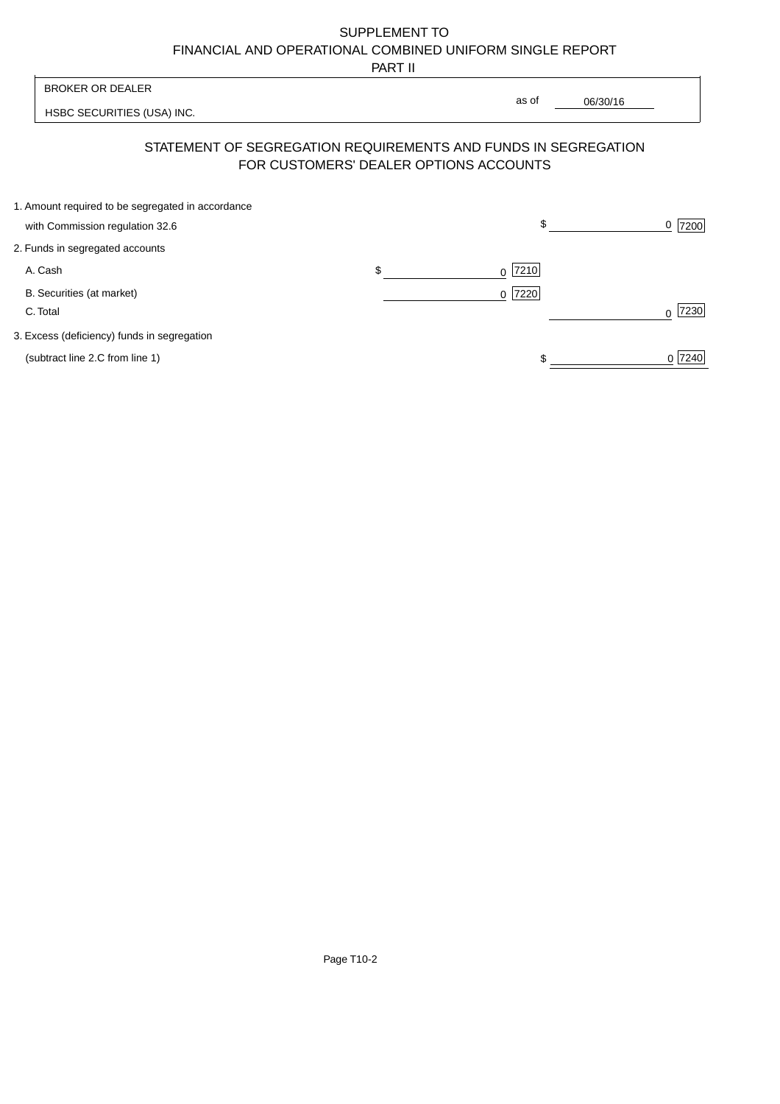PART II

|                                                                                      | .                                      |                                                                |                  |
|--------------------------------------------------------------------------------------|----------------------------------------|----------------------------------------------------------------|------------------|
| <b>BROKER OR DEALER</b>                                                              |                                        |                                                                |                  |
| HSBC SECURITIES (USA) INC.                                                           |                                        | as of<br>06/30/16                                              |                  |
|                                                                                      | FOR CUSTOMERS' DEALER OPTIONS ACCOUNTS | STATEMENT OF SEGREGATION REQUIREMENTS AND FUNDS IN SEGREGATION |                  |
| 1. Amount required to be segregated in accordance<br>with Commission regulation 32.6 |                                        | \$                                                             | 7200<br>0        |
| 2. Funds in segregated accounts                                                      |                                        |                                                                |                  |
| A. Cash                                                                              | \$                                     | 7210<br>0                                                      |                  |
| B. Securities (at market)<br>C. Total                                                |                                        | 7220 <br>$\Omega$                                              | 7230<br>$\Omega$ |
| 3. Excess (deficiency) funds in segregation                                          |                                        |                                                                |                  |
| (subtract line 2.C from line 1)                                                      |                                        |                                                                | 0 7240           |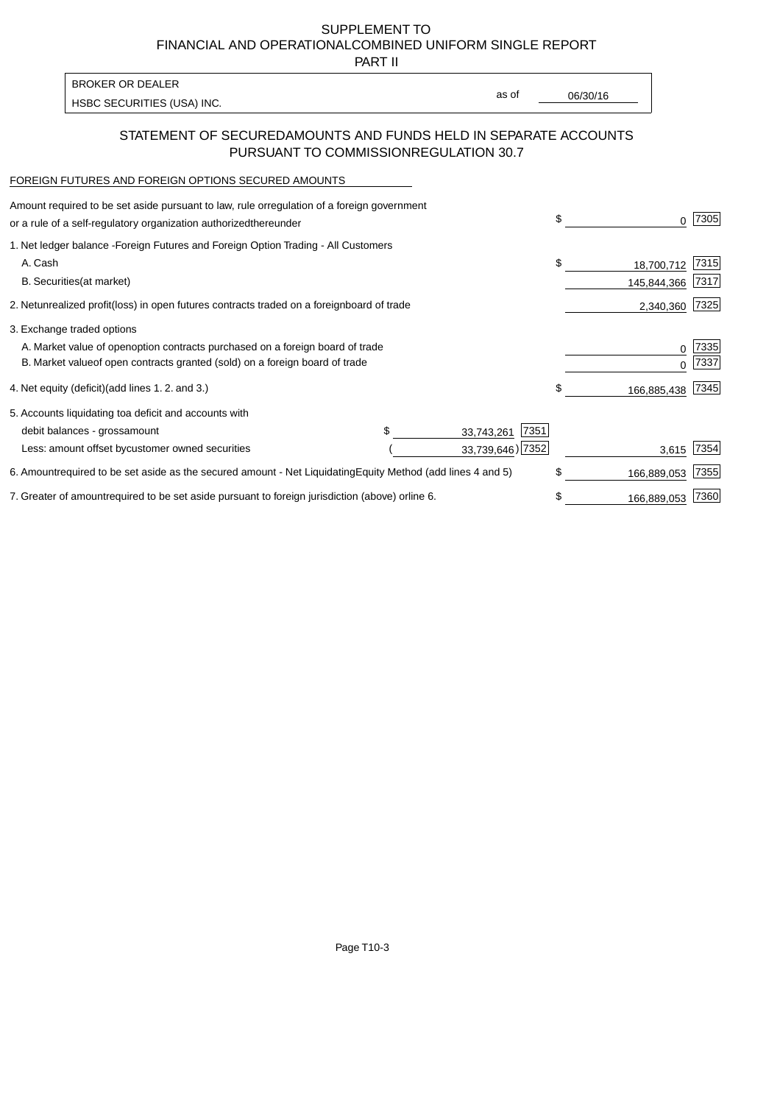PART II

HSBC SECURITIES (USA) INC. The state of the second second second second second second second second second second second second second second second second second second second second second second second second second sec BROKER OR DEALER

as of

### STATEMENT OF SECURED AMOUNTS AND FUNDS HELD IN SEPARATE ACCOUNTS PURSUANT TO COMMISSION REGULATION 30.7

#### FOREIGN FUTURES AND FOREIGN OPTIONS SECURED AMOUNTS

| Amount required to be set aside pursuant to law, rule or<br>regulation of a foreign government<br>or a rule of a self-regulatory organization authorized<br>thereunder                       |                                   | \$<br>0                         | 7305          |
|----------------------------------------------------------------------------------------------------------------------------------------------------------------------------------------------|-----------------------------------|---------------------------------|---------------|
| 1. Net ledger balance - Foreign Futures and Foreign Option Trading - All Customers<br>A. Cash<br><b>B.</b> Securities<br>(at market)                                                         |                                   | \$<br>18,700,712<br>145,844,366 | 7315<br> 7317 |
| 2. Net unrealized profit (loss) in open futures contracts traded on a foreign                                                                                                                | board of trade                    | 2,340,360                       | 7325          |
| 3. Exchange traded options<br>A. Market value of open option contracts purchased on a foreign board of trade<br>B. Market value of open contracts granted (sold) on a foreign board of trade |                                   | 0<br>U                          | 7335<br>7337  |
| 4. Net equity (deficit) (add lines 1.2. and 3.)                                                                                                                                              |                                   | \$<br>166,885,438               | 7345          |
| 5. Accounts liquidating to a deficit and accounts with<br>debit balances - gross<br>amount                                                                                                   | 7351<br>33,743,261                |                                 |               |
| Less: amount offset by customer owned securities                                                                                                                                             | 33,739,646) 7352                  | 3,615                           | 7354          |
| 6. Amount required to be set aside as the secured amount - Net Liquidating                                                                                                                   | Equity Method (add lines 4 and 5) | \$<br>166,889,053               | 7355          |
| 7. Greater of amount required to be set aside pursuant to foreign jurisdiction (above) or                                                                                                    | line 6.                           | \$<br>166,889,053               | 7360          |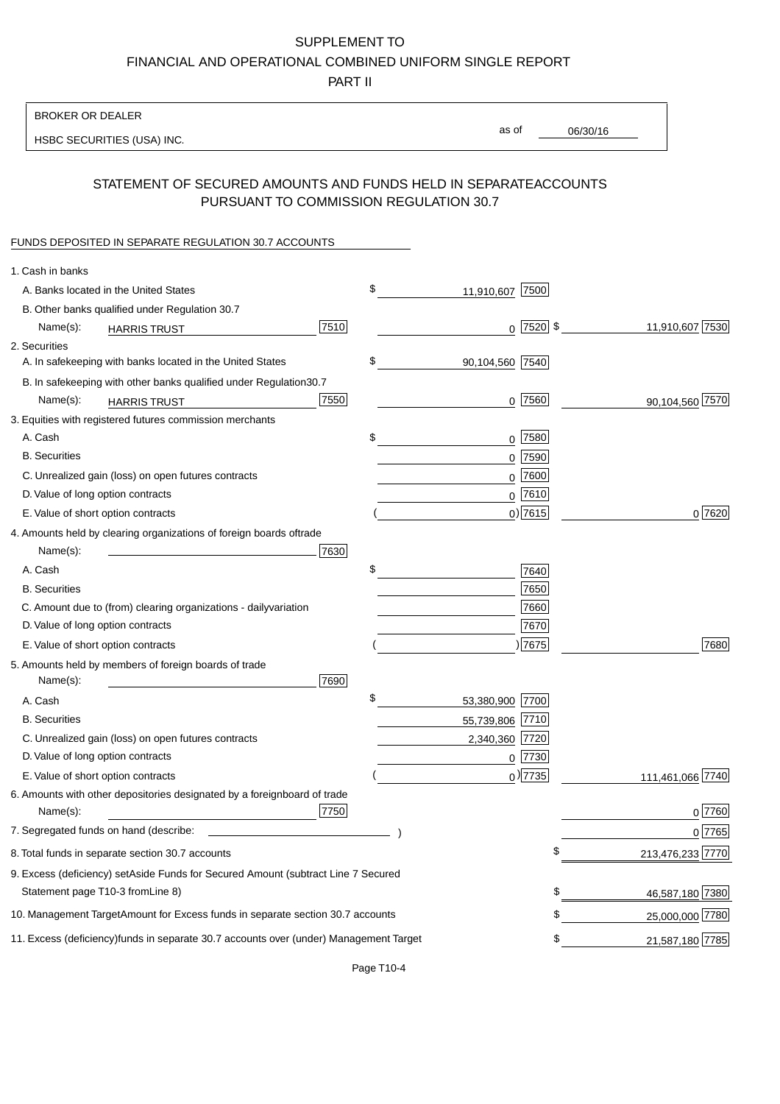PART II

| <b>BROKER OR DEALER</b>                                                                           |                 |                 |                  |
|---------------------------------------------------------------------------------------------------|-----------------|-----------------|------------------|
| HSBC SECURITIES (USA) INC.                                                                        | as of           | 06/30/16        |                  |
| STATEMENT OF SECURED AMOUNTS AND FUNDS HELD IN SEPARATE<br>PURSUANT TO COMMISSION REGULATION 30.7 |                 | <b>ACCOUNTS</b> |                  |
| FUNDS DEPOSITED IN SEPARATE REGULATION 30.7 ACCOUNTS                                              |                 |                 |                  |
| 1. Cash in banks                                                                                  |                 |                 |                  |
| \$<br>A. Banks located in the United States                                                       | 11,910,607 7500 |                 |                  |
| B. Other banks qualified under Regulation 30.7                                                    |                 |                 |                  |
| 7510<br>Name(s):<br><b>HARRIS TRUST</b>                                                           | $0$  7520  \$   |                 | 11,910,607 7530  |
| 2. Securities                                                                                     |                 |                 |                  |
| \$<br>A. In safekeeping with banks located in the United States                                   | 90,104,560 7540 |                 |                  |
| B. In safekeeping with other banks qualified under Regulation<br>30.7                             |                 |                 |                  |
| 7550<br>Name(s):<br><b>HARRIS TRUST</b>                                                           | $0$ 7560        |                 | 90,104,560 7570  |
| 3. Equities with registered futures commission merchants                                          |                 |                 |                  |
| \$<br>A. Cash                                                                                     | $0$ 7580        |                 |                  |
| <b>B.</b> Securities                                                                              | 0 7590          |                 |                  |
| C. Unrealized gain (loss) on open futures contracts                                               | $0$ 7600        |                 |                  |
| D. Value of long option contracts                                                                 | $0^{7610}$      |                 |                  |
| E. Value of short option contracts                                                                | $0$ ) 7615      |                 | 0 7620           |
| 4. Amounts held by clearing organizations of foreign boards of<br>trade                           |                 |                 |                  |
| Name(s):<br>7630                                                                                  |                 |                 |                  |
| \$<br>A. Cash                                                                                     | 7640            |                 |                  |
| <b>B.</b> Securities                                                                              | 7650            |                 |                  |
| C. Amount due to (from) clearing organizations - daily<br>variation                               | 7660            |                 |                  |
| D. Value of long option contracts                                                                 | 7670            |                 |                  |
| E. Value of short option contracts                                                                | )7675           |                 | 7680             |
| 5. Amounts held by members of foreign boards of trade<br>Name(s):<br>7690                         |                 |                 |                  |
| \$<br>A. Cash                                                                                     | 53,380,900 7700 |                 |                  |
| <b>B.</b> Securities                                                                              | 55,739,806 7710 |                 |                  |
| C. Unrealized gain (loss) on open futures contracts                                               | 2,340,360 7720  |                 |                  |
| D. Value of long option contracts                                                                 | $0$ 7730        |                 |                  |
| E. Value of short option contracts                                                                | $_0$ ) 7735     |                 | 111,461,066 7740 |
| 6. Amounts with other depositories designated by a foreign<br>board of trade<br>7750<br>Name(s):  |                 |                 | 0 7760           |
| 7. Segregated funds on hand (describe:                                                            |                 |                 | $0$ 7765         |
| 8. Total funds in separate section 30.7 accounts                                                  |                 | \$              | 213,476,233 7770 |
| 9. Excess (deficiency) set Aside Funds for Secured Amount (subtract Line 7 Secured                |                 |                 |                  |
| Statement page T10-3 from Line 8)                                                                 |                 | \$              | 46,587,180 7380  |
| 10. Management Target Amount for Excess funds in separate section 30.7 accounts                   |                 | \$              | 25,000,000 7780  |
| 11. Excess (deficiency) funds in separate 30.7 accounts over (under) Management Target            |                 | \$              | 21,587,180 7785  |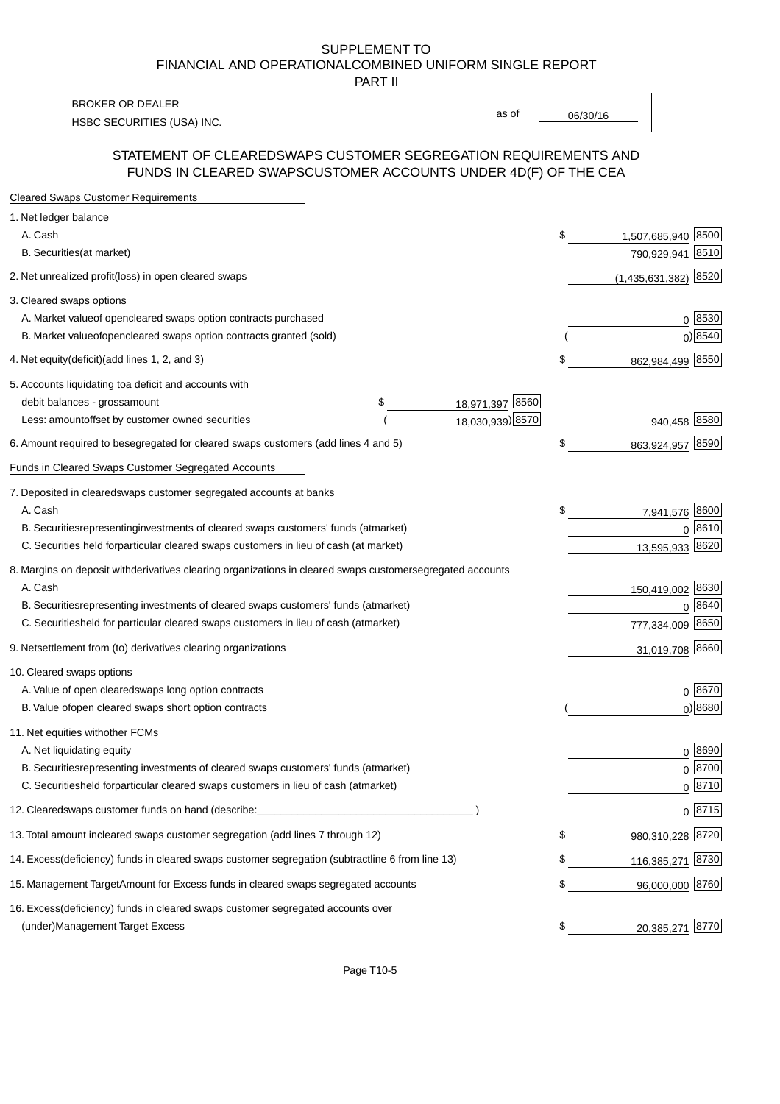PART II

HSBC SECURITIES (USA) INC. The contract of the contract of the contract of the contract of the contract of the contract of the contract of the contract of the contract of the contract of the contract of the contract of the BROKER OR DEALER

as of

#### STATEMENT OF CLEARED SWAPS CUSTOMER SEGREGATION REQUIREMENTS AND FUNDS IN CLEARED SWAPS CUSTOMER ACCOUNTS UNDER 4D(F) OF THE CEA

| <b>Cleared Swaps Customer Requirements</b>                                                                  |    |                         |
|-------------------------------------------------------------------------------------------------------------|----|-------------------------|
| 1. Net ledger balance                                                                                       |    |                         |
| A. Cash                                                                                                     | \$ | 1,507,685,940 8500      |
| B. Securities (at market)                                                                                   |    | 8510<br>790,929,941     |
| 2. Net unrealized profit (loss) in open cleared swaps                                                       |    | 8520<br>(1,435,631,382) |
| 3. Cleared swaps options                                                                                    |    |                         |
| A. Market value of open cleared swaps option contracts purchased                                            |    | 0   8530                |
| B. Market value of open cleared swaps option contracts granted (sold)                                       |    | $0)$ 8540               |
| 4. Net equity (deficit) (add lines 1, 2, and 3)                                                             | \$ | 862,984,499 8550        |
| 5. Accounts liquidating to a deficit and accounts with                                                      |    |                         |
| 18,971,397 8560<br>debit balances - gross<br>\$<br>amount                                                   |    |                         |
| 18,030,939) 8570<br>Less: amount offset by customer owned securities                                        |    | 940,458 8580            |
| 6. Amount required to be segregated for cleared swaps customers (add lines 4 and 5)                         | \$ | 863,924,957 8590        |
| Funds in Cleared Swaps Customer Segregated Accounts                                                         |    |                         |
| 7. Deposited in cleared swaps customer segregated accounts at banks                                         |    |                         |
| A. Cash                                                                                                     | \$ | 7,941,576 8600          |
| B. Securities representing investments of cleared swaps customers' funds (at market)                        |    | $0^{8610}$              |
| C. Securities held for particular cleared swaps customers in lieu of cash (at market)                       |    | 13,595,933 8620         |
| 8. Margins on deposit with derivatives clearing organizations in cleared swaps customer segregated accounts |    |                         |
| A. Cash                                                                                                     |    | 150,419,002 8630        |
| representing investments of cleared swaps customers' funds (at market)<br><b>B.</b> Securities              |    | 8640<br>0               |
| C. Securities held for particular cleared swaps customers in lieu of cash (at market)                       |    | 777,334,009 8650        |
| 9. Net settlement from (to) derivatives clearing organizations                                              |    | 31,019,708 8660         |
| 10. Cleared swaps options                                                                                   |    |                         |
| A. Value of open cleared swaps long option contracts                                                        |    | $0^{8670}$              |
| B. Value of open cleared swaps short option contracts                                                       |    | $0$ ) 8680              |
| 11. Net equities with other FCMs                                                                            |    |                         |
| A. Net liquidating equity                                                                                   |    | $0^{8690}$              |
| B. Securities representing investments of cleared swaps customers' funds (at market)                        |    | $0^{8700}$              |
| C. Securities held for particular cleared swaps customers in lieu of cash (at market)                       |    | 0 8710                  |
| 12. Cleared swaps customer funds on hand (describe:                                                         |    | $0 \;  8715 $           |
| 13. Total amount in cleared swaps customer segregation (add lines 7 through 12)                             | S  | 980,310,228 8720        |
| 14. Excess (deficiency) funds in cleared swaps customer segregation (subtract line 6 from line 13)          |    | 116,385,271 8730        |
| 15. Management Target Amount for Excess funds in cleared swaps segregated accounts                          | \$ | 96,000,000 8760         |
| 16. Excess<br>(deficiency) funds in cleared swaps customer segregated accounts over                         |    |                         |
| <b>Management Target Excess</b><br>(under)                                                                  | \$ | 20,385,271 8770         |